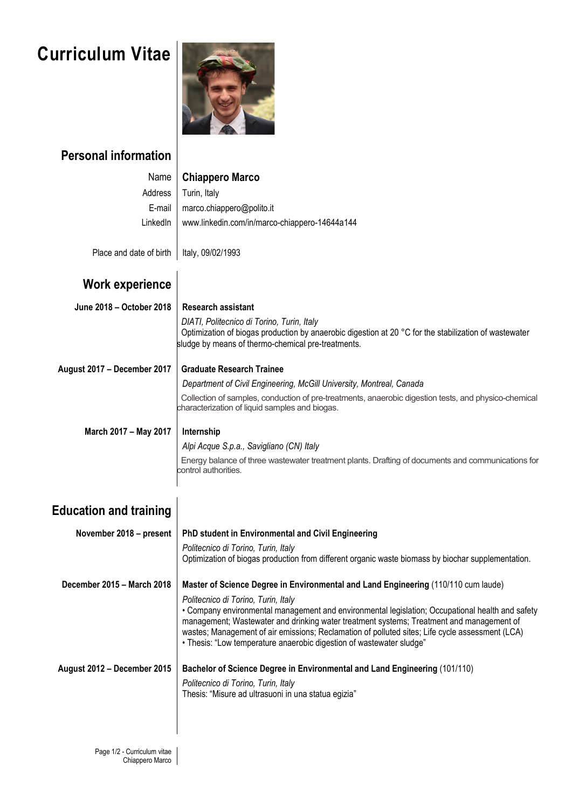## Curriculum Vitae



## Personal information

| Name                          | <b>Chiappero Marco</b>                                                                                                                                                                                    |
|-------------------------------|-----------------------------------------------------------------------------------------------------------------------------------------------------------------------------------------------------------|
| Address                       | Turin, Italy                                                                                                                                                                                              |
| E-mail                        | marco.chiappero@polito.it                                                                                                                                                                                 |
| LinkedIn                      | www.linkedin.com/in/marco-chiappero-14644a144                                                                                                                                                             |
|                               |                                                                                                                                                                                                           |
| Place and date of birth       | Italy, 09/02/1993                                                                                                                                                                                         |
| <b>Work experience</b>        |                                                                                                                                                                                                           |
|                               |                                                                                                                                                                                                           |
| June 2018 - October 2018      | <b>Research assistant</b>                                                                                                                                                                                 |
|                               | DIATI, Politecnico di Torino, Turin, Italy<br>Optimization of biogas production by anaerobic digestion at 20 °C for the stabilization of wastewater<br>sludge by means of thermo-chemical pre-treatments. |
| August 2017 - December 2017   | <b>Graduate Research Trainee</b>                                                                                                                                                                          |
|                               | Department of Civil Engineering, McGill University, Montreal, Canada                                                                                                                                      |
|                               | Collection of samples, conduction of pre-treatments, anaerobic digestion tests, and physico-chemical<br>characterization of liquid samples and biogas.                                                    |
| March 2017 - May 2017         | Internship                                                                                                                                                                                                |
|                               | Alpi Acque S.p.a., Savigliano (CN) Italy                                                                                                                                                                  |
|                               | Energy balance of three wastewater treatment plants. Drafting of documents and communications for<br>control authorities.                                                                                 |
|                               |                                                                                                                                                                                                           |
| <b>Education and training</b> |                                                                                                                                                                                                           |
| November 2018 - present       | PhD student in Environmental and Civil Engineering                                                                                                                                                        |
|                               | Politecnico di Torino, Turin, Italy                                                                                                                                                                       |
|                               | Optimization of biogas production from different organic waste biomass by biochar supplementation.                                                                                                        |
| December 2015 - March 2018    | Master of Science Degree in Environmental and Land Engineering (110/110 cum laude)                                                                                                                        |
|                               | Politecnico di Torino, Turin, Italy                                                                                                                                                                       |
|                               | • Company environmental management and environmental legislation; Occupational health and safety                                                                                                          |
|                               | management; Wastewater and drinking water treatment systems; Treatment and management of<br>wastes; Management of air emissions; Reclamation of polluted sites; Life cycle assessment (LCA)               |
|                               | • Thesis: "Low temperature anaerobic digestion of wastewater sludge"                                                                                                                                      |
| August 2012 - December 2015   | Bachelor of Science Degree in Environmental and Land Engineering (101/110)                                                                                                                                |
|                               | Politecnico di Torino, Turin, Italy                                                                                                                                                                       |
|                               | Thesis: "Misure ad ultrasuoni in una statua egizia"                                                                                                                                                       |
|                               |                                                                                                                                                                                                           |
|                               |                                                                                                                                                                                                           |